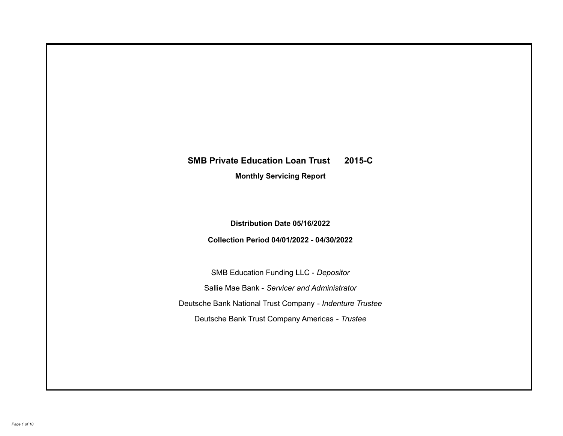# **SMB Private Education Loan Trust 2015-C**

**Monthly Servicing Report**

**Distribution Date 05/16/2022**

**Collection Period 04/01/2022 - 04/30/2022**

SMB Education Funding LLC - *Depositor* Sallie Mae Bank - *Servicer and Administrator* Deutsche Bank National Trust Company - *Indenture Trustee* Deutsche Bank Trust Company Americas - *Trustee*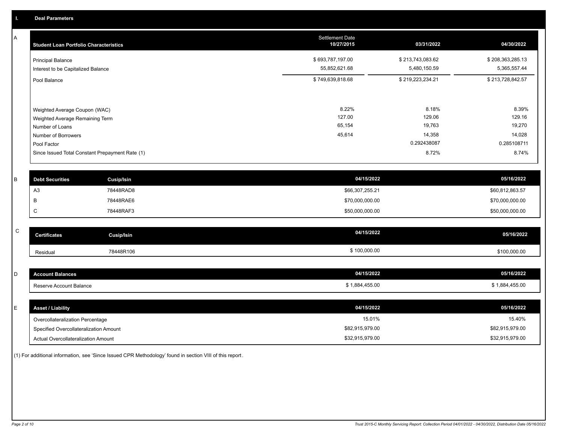A

| <b>Student Loan Portfolio Characteristics</b>                                                              | <b>Settlement Date</b><br>10/27/2015 | 03/31/2022                          | 04/30/2022                          |
|------------------------------------------------------------------------------------------------------------|--------------------------------------|-------------------------------------|-------------------------------------|
| <b>Principal Balance</b><br>Interest to be Capitalized Balance                                             | \$693,787,197.00<br>55,852,621.68    | \$213,743,083.62<br>5,480,150.59    | \$208,363,285.13<br>5,365,557.44    |
| Pool Balance                                                                                               | \$749,639,818.68                     | \$219,223,234.21                    | \$213,728,842.57                    |
| Weighted Average Coupon (WAC)<br>Weighted Average Remaining Term<br>Number of Loans<br>Number of Borrowers | 8.22%<br>127.00<br>65,154<br>45,614  | 8.18%<br>129.06<br>19,763<br>14,358 | 8.39%<br>129.16<br>19,270<br>14,028 |
| Pool Factor                                                                                                |                                      | 0.292438087                         | 0.285108711                         |
| Since Issued Total Constant Prepayment Rate (1)                                                            |                                      | 8.72%                               | 8.74%                               |

| <b>Debt Securities</b> | Cusip/Isin | 04/15/2022      | 05/16/2022      |
|------------------------|------------|-----------------|-----------------|
| AS                     | 78448RAD8  | \$66,307,255.21 | \$60,812,863.57 |
|                        | 78448RAE6  | \$70,000,000.00 | \$70,000,000.00 |
|                        | 78448RAF3  | \$50,000,000.00 | \$50,000,000.00 |

| $\sim$<br>◡ | <b>Certificates</b> | Cusip/Isin | 04/15/2022   | 05/16/2022   |
|-------------|---------------------|------------|--------------|--------------|
|             | Residual            | 78448R106  | \$100,000.00 | \$100,000.00 |

| count Balances             | 04/15/2022                | 05/16/2022              |
|----------------------------|---------------------------|-------------------------|
| seserve Account Balance، ا | 00.455 ب<br>$\sim$ $\sim$ | .455.00<br>$1$ $88$ $A$ |

| E. | <b>Asset / Liability</b>               | 04/15/2022      | 05/16/2022      |
|----|----------------------------------------|-----------------|-----------------|
|    | Overcollateralization Percentage       | 15.01%          | 15.40%          |
|    | Specified Overcollateralization Amount | \$82,915,979.00 | \$82,915,979.00 |
|    | Actual Overcollateralization Amount    | \$32,915,979.00 | \$32,915,979.00 |

(1) For additional information, see 'Since Issued CPR Methodology' found in section VIII of this report .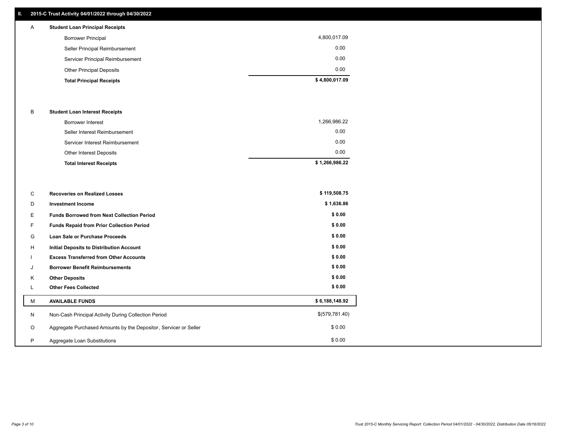## **II. 2015-C Trust Activity 04/01/2022 through 04/30/2022**

## A **Student Loan Principal Receipts**

| \$4,800,017.09 |
|----------------|
| 0.00           |
| 0.00           |
| 0.00           |
| 4,800,017.09   |
|                |

#### B **Student Loan Interest Receipts**

| Borrower Interest               | 1,266,986.22   |
|---------------------------------|----------------|
| Seller Interest Reimbursement   | 0.00           |
| Servicer Interest Reimbursement | 0.00           |
| Other Interest Deposits         | 0.00           |
| <b>Total Interest Receipts</b>  | \$1,266,986.22 |

| C       | <b>Recoveries on Realized Losses</b>                             | \$119,508.75   |
|---------|------------------------------------------------------------------|----------------|
| D       | <b>Investment Income</b>                                         | \$1,636.86     |
| Е       | <b>Funds Borrowed from Next Collection Period</b>                | \$0.00         |
| F       | Funds Repaid from Prior Collection Period                        | \$0.00         |
| G       | Loan Sale or Purchase Proceeds                                   | \$0.00         |
| H       | <b>Initial Deposits to Distribution Account</b>                  | \$0.00         |
|         | <b>Excess Transferred from Other Accounts</b>                    | \$0.00         |
| J       | <b>Borrower Benefit Reimbursements</b>                           | \$0.00         |
| K       | <b>Other Deposits</b>                                            | \$0.00         |
|         | <b>Other Fees Collected</b>                                      | \$0.00         |
| м       | <b>AVAILABLE FUNDS</b>                                           | \$6,188,148.92 |
| N       | Non-Cash Principal Activity During Collection Period             | \$(579,781.40) |
| $\circ$ | Aggregate Purchased Amounts by the Depositor, Servicer or Seller | \$0.00         |
| P       | Aggregate Loan Substitutions                                     | \$0.00         |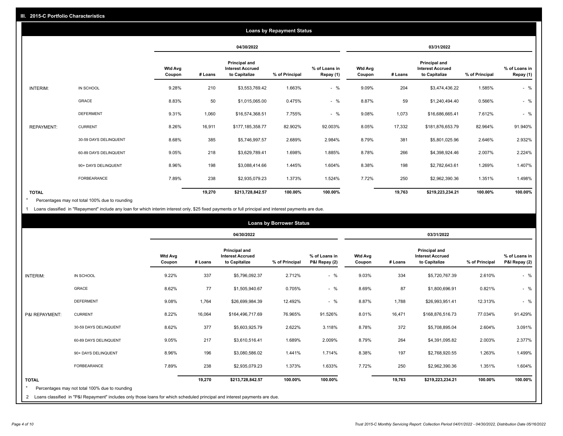|                   | <b>Loans by Repayment Status</b> |                          |         |                                                                  |                |                            |                          |         |                                                           |                |                            |
|-------------------|----------------------------------|--------------------------|---------|------------------------------------------------------------------|----------------|----------------------------|--------------------------|---------|-----------------------------------------------------------|----------------|----------------------------|
|                   |                                  |                          |         | 04/30/2022                                                       |                |                            |                          |         | 03/31/2022                                                |                |                            |
|                   |                                  | <b>Wtd Avg</b><br>Coupon | # Loans | <b>Principal and</b><br><b>Interest Accrued</b><br>to Capitalize | % of Principal | % of Loans in<br>Repay (1) | <b>Wtd Avg</b><br>Coupon | # Loans | Principal and<br><b>Interest Accrued</b><br>to Capitalize | % of Principal | % of Loans in<br>Repay (1) |
| INTERIM:          | IN SCHOOL                        | 9.28%                    | 210     | \$3,553,769.42                                                   | 1.663%         | $-$ %                      | 9.09%                    | 204     | \$3,474,436.22                                            | 1.585%         | $-$ %                      |
|                   | GRACE                            | 8.83%                    | 50      | \$1,015,065.00                                                   | 0.475%         | $-$ %                      | 8.87%                    | 59      | \$1,240,494.40                                            | 0.566%         | $-$ %                      |
|                   | <b>DEFERMENT</b>                 | 9.31%                    | 1,060   | \$16,574,368.51                                                  | 7.755%         | $-$ %                      | 9.08%                    | 1,073   | \$16,686,665.41                                           | 7.612%         | $-$ %                      |
| <b>REPAYMENT:</b> | <b>CURRENT</b>                   | 8.26%                    | 16,911  | \$177,185,358.77                                                 | 82.902%        | 92.003%                    | 8.05%                    | 17,332  | \$181,876,653.79                                          | 82.964%        | 91.940%                    |
|                   | 30-59 DAYS DELINQUENT            | 8.68%                    | 385     | \$5,746,997.57                                                   | 2.689%         | 2.984%                     | 8.79%                    | 381     | \$5,801,025.96                                            | 2.646%         | 2.932%                     |
|                   | 60-89 DAYS DELINQUENT            | 9.05%                    | 218     | \$3,629,789.41                                                   | 1.698%         | 1.885%                     | 8.78%                    | 266     | \$4,398,924.46                                            | 2.007%         | 2.224%                     |
|                   | 90+ DAYS DELINQUENT              | 8.96%                    | 198     | \$3,088,414.66                                                   | 1.445%         | 1.604%                     | 8.38%                    | 198     | \$2,782,643.61                                            | 1.269%         | 1.407%                     |
|                   | <b>FORBEARANCE</b>               | 7.89%                    | 238     | \$2,935,079.23                                                   | 1.373%         | 1.524%                     | 7.72%                    | 250     | \$2,962,390.36                                            | 1.351%         | 1.498%                     |
| <b>TOTAL</b>      |                                  |                          | 19,270  | \$213,728,842.57                                                 | 100.00%        | 100.00%                    |                          | 19,763  | \$219,223,234.21                                          | 100.00%        | 100.00%                    |

Percentages may not total 100% due to rounding \*

1 Loans classified in "Repayment" include any loan for which interim interest only, \$25 fixed payments or full principal and interest payments are due.

|                         |                                                                                                                              |                          |            |                                                                  | <b>Loans by Borrower Status</b> |                                |                          |            |                                                                  |                |                                |
|-------------------------|------------------------------------------------------------------------------------------------------------------------------|--------------------------|------------|------------------------------------------------------------------|---------------------------------|--------------------------------|--------------------------|------------|------------------------------------------------------------------|----------------|--------------------------------|
|                         |                                                                                                                              |                          | 04/30/2022 |                                                                  |                                 |                                |                          | 03/31/2022 |                                                                  |                |                                |
|                         |                                                                                                                              | <b>Wtd Avg</b><br>Coupon | # Loans    | <b>Principal and</b><br><b>Interest Accrued</b><br>to Capitalize | % of Principal                  | % of Loans in<br>P&I Repay (2) | <b>Wtd Avg</b><br>Coupon | # Loans    | <b>Principal and</b><br><b>Interest Accrued</b><br>to Capitalize | % of Principal | % of Loans in<br>P&I Repay (2) |
| <b>INTERIM:</b>         | IN SCHOOL                                                                                                                    | 9.22%                    | 337        | \$5,796,092.37                                                   | 2.712%                          | $-$ %                          | 9.03%                    | 334        | \$5,720,767.39                                                   | 2.610%         | $-$ %                          |
|                         | <b>GRACE</b>                                                                                                                 | 8.62%                    | 77         | \$1,505,940.67                                                   | 0.705%                          | $-$ %                          | 8.69%                    | 87         | \$1,800,696.91                                                   | 0.821%         | $-$ %                          |
|                         | <b>DEFERMENT</b>                                                                                                             | 9.08%                    | 1,764      | \$26,699,984.39                                                  | 12.492%                         | $-$ %                          | 8.87%                    | 1,788      | \$26,993,951.41                                                  | 12.313%        | $-$ %                          |
| P&I REPAYMENT:          | <b>CURRENT</b>                                                                                                               | 8.22%                    | 16,064     | \$164,496,717.69                                                 | 76.965%                         | 91.526%                        | 8.01%                    | 16,471     | \$168,876,516.73                                                 | 77.034%        | 91.429%                        |
|                         | 30-59 DAYS DELINQUENT                                                                                                        | 8.62%                    | 377        | \$5,603,925.79                                                   | 2.622%                          | 3.118%                         | 8.78%                    | 372        | \$5,708,895.04                                                   | 2.604%         | 3.091%                         |
|                         | 60-89 DAYS DELINQUENT                                                                                                        | 9.05%                    | 217        | \$3,610,516.41                                                   | 1.689%                          | 2.009%                         | 8.79%                    | 264        | \$4,391,095.82                                                   | 2.003%         | 2.377%                         |
|                         | 90+ DAYS DELINQUENT                                                                                                          | 8.96%                    | 196        | \$3,080,586.02                                                   | 1.441%                          | 1.714%                         | 8.38%                    | 197        | \$2,768,920.55                                                   | 1.263%         | 1.499%                         |
|                         | FORBEARANCE                                                                                                                  | 7.89%                    | 238        | \$2,935,079.23                                                   | 1.373%                          | 1.633%                         | 7.72%                    | 250        | \$2,962,390.36                                                   | 1.351%         | 1.604%                         |
| <b>TOTAL</b><br>$\star$ | Percentages may not total 100% due to rounding                                                                               |                          | 19,270     | \$213,728,842.57                                                 | 100.00%                         | 100.00%                        |                          | 19,763     | \$219,223,234.21                                                 | 100.00%        | 100.00%                        |
|                         | 2 Loans classified in "P&I Repayment" includes only those loans for which scheduled principal and interest payments are due. |                          |            |                                                                  |                                 |                                |                          |            |                                                                  |                |                                |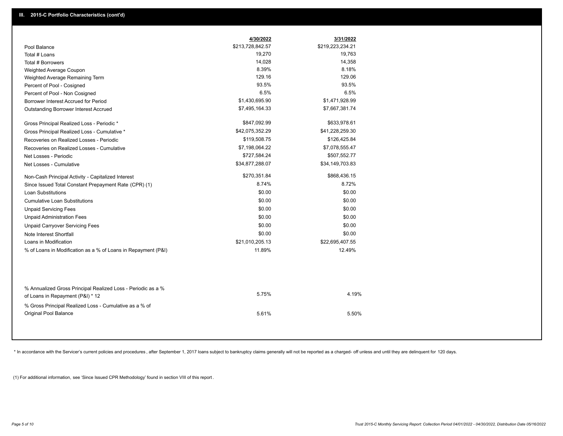|                                                                                                  | 4/30/2022        | 3/31/2022        |
|--------------------------------------------------------------------------------------------------|------------------|------------------|
| Pool Balance                                                                                     | \$213,728,842.57 | \$219,223,234.21 |
| Total # Loans                                                                                    | 19,270           | 19,763           |
| Total # Borrowers                                                                                | 14,028           | 14,358           |
| Weighted Average Coupon                                                                          | 8.39%            | 8.18%            |
| Weighted Average Remaining Term                                                                  | 129.16           | 129.06           |
| Percent of Pool - Cosigned                                                                       | 93.5%            | 93.5%            |
| Percent of Pool - Non Cosigned                                                                   | 6.5%             | 6.5%             |
| Borrower Interest Accrued for Period                                                             | \$1,430,695.90   | \$1,471,928.99   |
| Outstanding Borrower Interest Accrued                                                            | \$7,495,164.33   | \$7,667,381.74   |
| Gross Principal Realized Loss - Periodic *                                                       | \$847,092.99     | \$633,978.61     |
| Gross Principal Realized Loss - Cumulative *                                                     | \$42,075,352.29  | \$41,228,259.30  |
| Recoveries on Realized Losses - Periodic                                                         | \$119,508.75     | \$126,425.84     |
| Recoveries on Realized Losses - Cumulative                                                       | \$7,198,064.22   | \$7,078,555.47   |
| Net Losses - Periodic                                                                            | \$727,584.24     | \$507,552.77     |
| Net Losses - Cumulative                                                                          | \$34,877,288.07  | \$34,149,703.83  |
| Non-Cash Principal Activity - Capitalized Interest                                               | \$270,351.84     | \$868,436.15     |
| Since Issued Total Constant Prepayment Rate (CPR) (1)                                            | 8.74%            | 8.72%            |
| <b>Loan Substitutions</b>                                                                        | \$0.00           | \$0.00           |
| <b>Cumulative Loan Substitutions</b>                                                             | \$0.00           | \$0.00           |
| <b>Unpaid Servicing Fees</b>                                                                     | \$0.00           | \$0.00           |
| <b>Unpaid Administration Fees</b>                                                                | \$0.00           | \$0.00           |
| <b>Unpaid Carryover Servicing Fees</b>                                                           | \$0.00           | \$0.00           |
| Note Interest Shortfall                                                                          | \$0.00           | \$0.00           |
| Loans in Modification                                                                            | \$21,010,205.13  | \$22,695,407.55  |
| % of Loans in Modification as a % of Loans in Repayment (P&I)                                    | 11.89%           | 12.49%           |
|                                                                                                  |                  |                  |
| % Annualized Gross Principal Realized Loss - Periodic as a %<br>of Loans in Repayment (P&I) * 12 | 5.75%            | 4.19%            |
| % Gross Principal Realized Loss - Cumulative as a % of                                           |                  |                  |
| Original Pool Balance                                                                            | 5.61%            | 5.50%            |

\* In accordance with the Servicer's current policies and procedures, after September 1, 2017 loans subject to bankruptcy claims generally will not be reported as a charged- off unless and until they are delinquent for 120

(1) For additional information, see 'Since Issued CPR Methodology' found in section VIII of this report .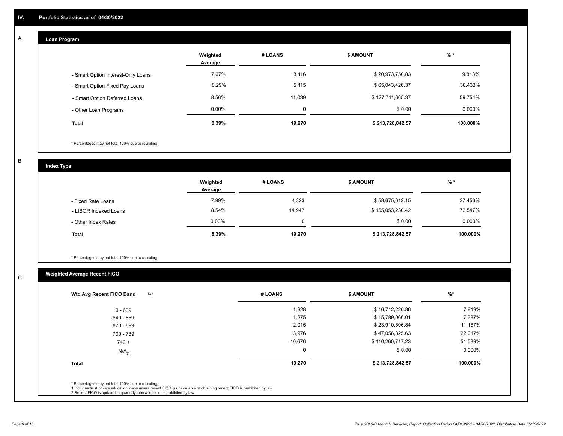## **Loan Program**

A

|                                    | Weighted<br>Average | # LOANS     | <b>\$ AMOUNT</b> | $%$ *    |
|------------------------------------|---------------------|-------------|------------------|----------|
| - Smart Option Interest-Only Loans | 7.67%               | 3,116       | \$20,973,750.83  | 9.813%   |
| - Smart Option Fixed Pay Loans     | 8.29%               | 5,115       | \$65,043,426.37  | 30.433%  |
| - Smart Option Deferred Loans      | 8.56%               | 11.039      | \$127,711,665.37 | 59.754%  |
| - Other Loan Programs              | $0.00\%$            | $\mathbf 0$ | \$0.00           | 0.000%   |
| <b>Total</b>                       | 8.39%               | 19.270      | \$213,728,842.57 | 100.000% |

\* Percentages may not total 100% due to rounding

B

C

**Index Type**

|                       | Weighted<br>Average | # LOANS  | \$ AMOUNT        | $%$ *     |
|-----------------------|---------------------|----------|------------------|-----------|
| - Fixed Rate Loans    | 7.99%               | 4,323    | \$58,675,612.15  | 27.453%   |
| - LIBOR Indexed Loans | 8.54%               | 14,947   | \$155,053,230.42 | 72.547%   |
| - Other Index Rates   | $0.00\%$            | $\Omega$ | \$0.00           | $0.000\%$ |
| Total                 | 8.39%               | 19,270   | \$213,728,842.57 | 100.000%  |

\* Percentages may not total 100% due to rounding

## **Weighted Average Recent FICO**

| (2)<br>Wtd Avg Recent FICO Band | # LOANS     | <b>\$ AMOUNT</b> | $%$ *     |
|---------------------------------|-------------|------------------|-----------|
| 0 - 639                         | 1,328       | \$16,712,226.86  | 7.819%    |
| 640 - 669                       | 1,275       | \$15,789,066.01  | 7.387%    |
| 670 - 699                       | 2,015       | \$23,910,506.84  | 11.187%   |
| 700 - 739                       | 3,976       | \$47,056,325.63  | 22.017%   |
| $740 +$                         | 10,676      | \$110,260,717.23 | 51.589%   |
| $N/A$ <sub>(1)</sub>            | $\mathbf 0$ | \$0.00           | $0.000\%$ |
| <b>Total</b>                    | 19,270      | \$213,728,842.57 | 100.000%  |
|                                 |             |                  |           |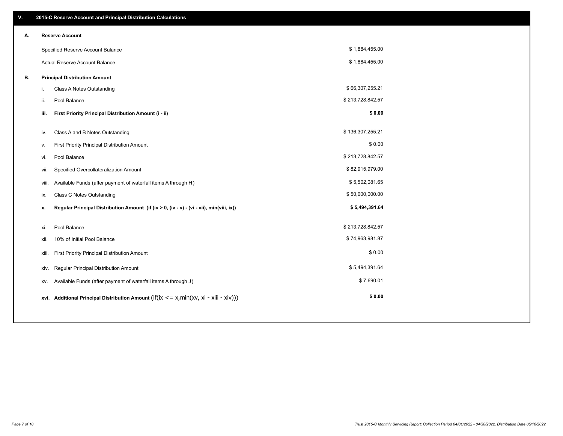| V. |       | 2015-C Reserve Account and Principal Distribution Calculations                                      |                  |  |
|----|-------|-----------------------------------------------------------------------------------------------------|------------------|--|
| А. |       | <b>Reserve Account</b>                                                                              |                  |  |
|    |       | Specified Reserve Account Balance                                                                   | \$1,884,455.00   |  |
|    |       | Actual Reserve Account Balance                                                                      | \$1,884,455.00   |  |
| В. |       | <b>Principal Distribution Amount</b>                                                                |                  |  |
|    | i.    | Class A Notes Outstanding                                                                           | \$66,307,255.21  |  |
|    | ii.   | Pool Balance                                                                                        | \$213,728,842.57 |  |
|    | iii.  | First Priority Principal Distribution Amount (i - ii)                                               | \$0.00           |  |
|    |       |                                                                                                     |                  |  |
|    | iv.   | Class A and B Notes Outstanding                                                                     | \$136,307,255.21 |  |
|    | v.    | First Priority Principal Distribution Amount                                                        | \$0.00           |  |
|    | vi.   | Pool Balance                                                                                        | \$213,728,842.57 |  |
|    | vii.  | Specified Overcollateralization Amount                                                              | \$82,915,979.00  |  |
|    | viii. | Available Funds (after payment of waterfall items A through H)                                      | \$5,502,081.65   |  |
|    | ix.   | <b>Class C Notes Outstanding</b>                                                                    | \$50,000,000.00  |  |
|    | х.    | Regular Principal Distribution Amount (if (iv > 0, (iv - v) - (vi - vii), min(viii, ix))            | \$5,494,391.64   |  |
|    |       |                                                                                                     |                  |  |
|    | xi.   | Pool Balance                                                                                        | \$213,728,842.57 |  |
|    | xii.  | 10% of Initial Pool Balance                                                                         | \$74,963,981.87  |  |
|    | xiii. | First Priority Principal Distribution Amount                                                        | \$0.00           |  |
|    | XIV.  | Regular Principal Distribution Amount                                                               | \$5,494,391.64   |  |
|    | XV.   | Available Funds (after payment of waterfall items A through J)                                      | \$7,690.01       |  |
|    |       | xvi. Additional Principal Distribution Amount (if( $ix \le x$ , min( $xv$ , $xi$ - $xiii - xiv$ ))) | \$0.00           |  |
|    |       |                                                                                                     |                  |  |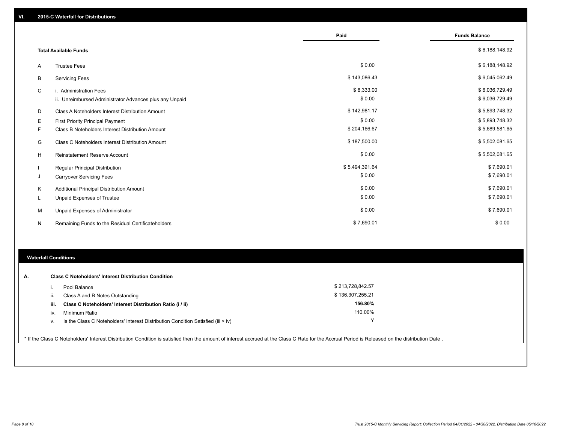|   |                                                         | Paid           | <b>Funds Balance</b> |
|---|---------------------------------------------------------|----------------|----------------------|
|   | <b>Total Available Funds</b>                            |                | \$6,188,148.92       |
| A | <b>Trustee Fees</b>                                     | \$0.00         | \$6,188,148.92       |
| В | <b>Servicing Fees</b>                                   | \$143,086.43   | \$6,045,062.49       |
| C | i. Administration Fees                                  | \$8,333.00     | \$6,036,729.49       |
|   | ii. Unreimbursed Administrator Advances plus any Unpaid | \$0.00         | \$6,036,729.49       |
| D | Class A Noteholders Interest Distribution Amount        | \$142,981.17   | \$5,893,748.32       |
| Е | First Priority Principal Payment                        | \$0.00         | \$5,893,748.32       |
| F | Class B Noteholders Interest Distribution Amount        | \$204,166.67   | \$5,689,581.65       |
| G | Class C Noteholders Interest Distribution Amount        | \$187,500.00   | \$5,502,081.65       |
| н | <b>Reinstatement Reserve Account</b>                    | \$0.00         | \$5,502,081.65       |
|   | Regular Principal Distribution                          | \$5,494,391.64 | \$7,690.01           |
| J | <b>Carryover Servicing Fees</b>                         | \$0.00         | \$7,690.01           |
| Κ | Additional Principal Distribution Amount                | \$0.00         | \$7,690.01           |
| L | Unpaid Expenses of Trustee                              | \$0.00         | \$7,690.01           |
| M | Unpaid Expenses of Administrator                        | \$0.00         | \$7,690.01           |
| N | Remaining Funds to the Residual Certificateholders      | \$7,690.01     | \$0.00               |

### **Waterfall Conditions**

| А. |      | <b>Class C Noteholders' Interest Distribution Condition</b>                        |                  |  |
|----|------|------------------------------------------------------------------------------------|------------------|--|
|    |      | Pool Balance                                                                       | \$213,728,842.57 |  |
|    | Ш.   | Class A and B Notes Outstanding                                                    | \$136,307,255.21 |  |
|    | iii. | Class C Noteholders' Interest Distribution Ratio (i / ii)                          | 156.80%          |  |
|    | IV   | Minimum Ratio                                                                      | 110.00%          |  |
|    | ν.   | Is the Class C Noteholders' Interest Distribution Condition Satisfied (iii $>$ iv) | v                |  |
|    |      |                                                                                    |                  |  |

\* If the Class C Noteholders' Interest Distribution Condition is satisfied then the amount of interest accrued at the Class C Rate for the Accrual Period is Released on the distribution Date .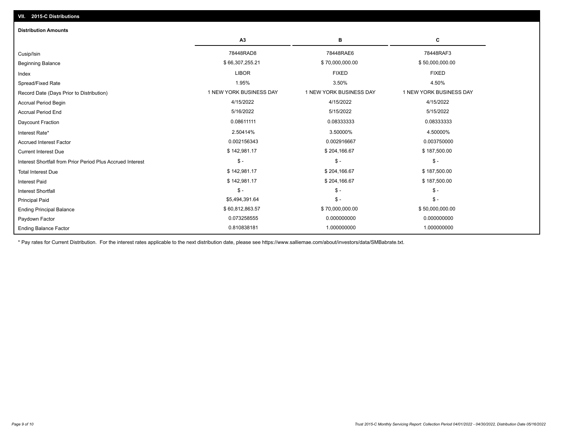| <b>Distribution Amounts</b>                                |                         |                         |                         |
|------------------------------------------------------------|-------------------------|-------------------------|-------------------------|
|                                                            | A3                      | в                       | C                       |
| Cusip/Isin                                                 | 78448RAD8               | 78448RAE6               | 78448RAF3               |
| <b>Beginning Balance</b>                                   | \$66,307,255.21         | \$70,000,000.00         | \$50,000,000.00         |
| Index                                                      | <b>LIBOR</b>            | <b>FIXED</b>            | <b>FIXED</b>            |
| Spread/Fixed Rate                                          | 1.95%                   | 3.50%                   | 4.50%                   |
| Record Date (Days Prior to Distribution)                   | 1 NEW YORK BUSINESS DAY | 1 NEW YORK BUSINESS DAY | 1 NEW YORK BUSINESS DAY |
| <b>Accrual Period Begin</b>                                | 4/15/2022               | 4/15/2022               | 4/15/2022               |
| <b>Accrual Period End</b>                                  | 5/16/2022               | 5/15/2022               | 5/15/2022               |
| <b>Daycount Fraction</b>                                   | 0.08611111              | 0.08333333              | 0.08333333              |
| Interest Rate*                                             | 2.50414%                | 3.50000%                | 4.50000%                |
| <b>Accrued Interest Factor</b>                             | 0.002156343             | 0.002916667             | 0.003750000             |
| <b>Current Interest Due</b>                                | \$142,981.17            | \$204,166.67            | \$187,500.00            |
| Interest Shortfall from Prior Period Plus Accrued Interest | $\frac{2}{3}$ -         | $\frac{1}{2}$           | $\mathcal{S}$ -         |
| <b>Total Interest Due</b>                                  | \$142,981.17            | \$204,166.67            | \$187,500.00            |
| <b>Interest Paid</b>                                       | \$142,981.17            | \$204,166.67            | \$187,500.00            |
| <b>Interest Shortfall</b>                                  | $S -$                   | $$ -$                   | $$ -$                   |
| <b>Principal Paid</b>                                      | \$5,494,391.64          | $$ -$                   | $\mathcal{S}$ -         |
| <b>Ending Principal Balance</b>                            | \$60,812,863.57         | \$70,000,000.00         | \$50,000,000.00         |
| Paydown Factor                                             | 0.073258555             | 0.000000000             | 0.000000000             |
| <b>Ending Balance Factor</b>                               | 0.810838181             | 1.000000000             | 1.000000000             |

\* Pay rates for Current Distribution. For the interest rates applicable to the next distribution date, please see https://www.salliemae.com/about/investors/data/SMBabrate.txt.

**VII. 2015-C Distributions**